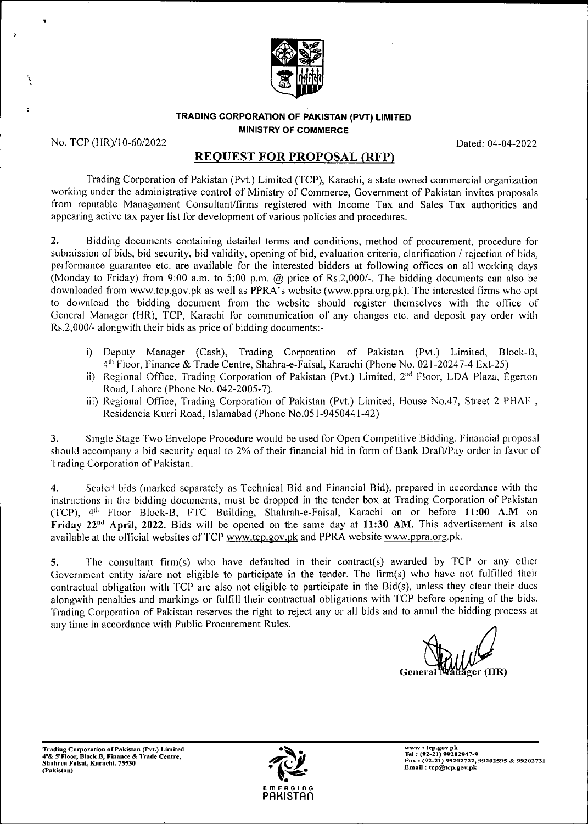

#### **TRADING CORPORATION OF PAKISTAN (PVT) LIMITED MINISTRY OF COMMERCE**

No. TCP (HR)/10-60/2022 Dated: 04-04-2022

**\**

# REQUEST FOR PROPOSAL (RFP)

Trading Corporation of Pakistan (Pvt.) Limited (TCP), Karachi, a state owned commercial organization working under the administrative control of Ministry of Commerce, Government of Pakistan invites proposals from reputable Management Consultant/firms registered with Income Tax and Sales Tax authorities and appearing active tax payer list for development of various policies and procedures.

Bidding documents containing detailed terms and conditions, method of procurement, procedure for submission of bids, bid security, bid validity, opening of bid, evaluation criteria, clarification / rejection of bids, performance guarantee etc. are available for the interested bidders at following offices on all working days (Monday to Friday) from 9:00 a.m. to 5:00 p.m. @ price of Rs.2,000/-. The bidding documents can also be downloaded from [www.tcp.gov.pk](http://www.tcp.gov.pk) as well as PPRA's website [\(www.ppra.org.pk\)](http://www.ppra.org.pk). The interested firms who opt to download the bidding document from the website should register themselves with the office of General Manager (HR), TCP, Karachi for communication of any changes etc. and deposit pay order with Rs.2,000/- alongwith their bids as price of bidding documents:- **2.**

- i) Deputy Manager (Cash), Trading Corporation of Pakistan (Pvt.) Limited, Block-B, Floor, Finance & Trade Centre, Shahra-e-Faisal, Karachi (Phone No. 021-20247-4 Ext-25)
- ii) Regional Office, Trading Corporation of Pakistan (Pvt.) Limited, 2<sup>nd</sup> Floor, LDA Plaza, Egerton Road, Lahore (Phone No. 042-2005-7).
- iii) Regional Office, Trading Corporation of Pakistan (Pvt.) Limited, House No.47, Street 2 PHAF , Residencia Kurri Road, Islamabad (Phone No.051-9450441-42)

Single Stage Two Envelope Procedure would be used for Open Competitive Bidding. Financial proposal should accompany a bid security equal to 2% of their financial bid in form of Bank Draft/Pay order in favor of Trading Corporation of Pakistan. **3.**

Sealed bids (marked separately as Technical Bid and Financial Bid), prepared in accordance with the instructions in the bidding documents, must be dropped in the tender box at Trading Corporation of Pakistan (TCP), 4<sup>th</sup> Floor Block-B, FTC Building, Shahrah-e-Faisal, Karachi on or before 11:00 A.M on Friday  $22^{nd}$  April,  $2022$ . Bids will be opened on the same day at 11:30 AM. This advertisement is also available at the official websites of TCP [www.tcp.gov.pk](http://www.tcp.gov.pk) and PPRA website [www.ppra.org.pk.](http://www.ppra.org.pk) **4.**

The consultant firm(s) who have defaulted in their contract(s) awarded by TCP or any other Government entity is/are not eligible to participate in the tender. The firm(s) who have not fulfilled their contractual obligation with TCP arc also not eligible to participate in the Bid(s), unless they clear their dues alongwith penalties and markings or fulfill their contractual obligations with TCP before opening of the bids. Trading Corporation of Pakistan reserves the right to reject any or all bids and to annul the bidding process at any time in accordance with Public Procurement Rules. 5.

General Wanager (HR)

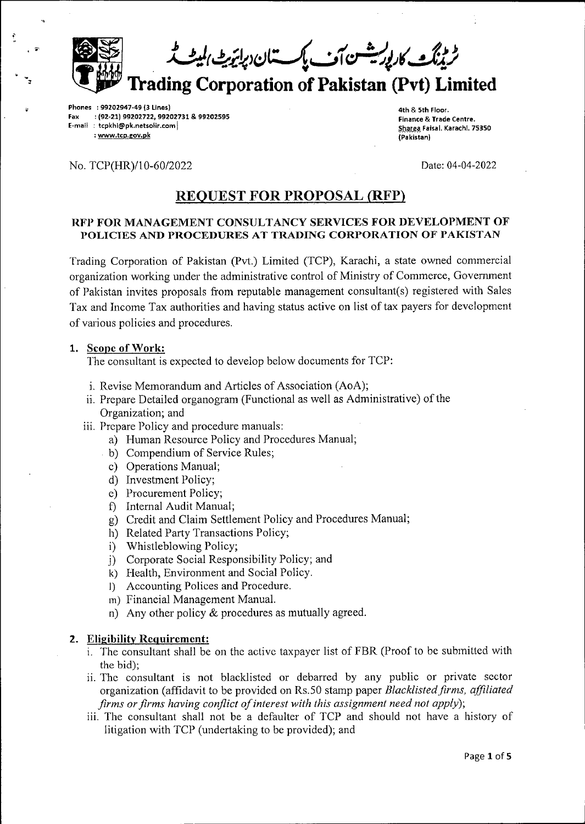<sup>د</sup> وینگٹ کارپوریشسن آف پک تئان دپائیزیش *ا*لم  $\bullet$ **Trading Corporation of Pakistan (Pvt) Limited** 

**Phones : 99202947-49 {3 Lines) : (92-21) 99202722, 99202731 & 99202595 E-mail : tcpkhi(®pk.netsolir.comj : [www.tcp.gov.pk](http://www.tcp.gov.pk) Fax**

**4th** *&* **5th Floor. Finance & Trade Centre. §j3&tS3.Fa'sal- Karachi. 75350 (Pakistan)**

### No. TCP(HR)/10-60/2022 Date: 04-04-2022

, \*•

# REQUEST FOR PROPOSAL (RFP)

### **RFP FOR MANAGEMENT CONSULTANCY SERVICES FOR DEVELOPMENT OF POLICIES AND PROCEDURES AT TRADING CORPORATION OF PAKISTAN**

Trading Corporation of Pakistan (Pvt.) Limited (TCP), Karachi, a state owned commercial organization working under the administrative control of Ministry of Commerce, Government of Pakistan invites proposals from reputable management consultant(s) registered with Sales Tax and Income Tax authorities and having status active on list oftax payers for development of various policies and procedures.

### **1. Scope ofWork:**

The consultant is expected to develop below documents for TCP:

- i. Revise Memorandum and Articles of Association (AoA);
- ii. Prepare Detailed organogram (Functional as well as Administrative) of the Organization; and
- iii. Prepare Policy and procedure manuals:
	- a) Human Resource Policy and Procedures Manual;
	- b) Compendium of Service Rules;
	- c) Operations Manual;
	- d) Investment Policy;
	- e) Procurement Policy;
	- f) Internal Audit Manual;
	- g) Credit and Claim Settlement Policy and Procedures Manual;
	- h) Related Party Transactions Policy;
	- i) Whistleblowing Policy;
	- j) Corporate Social Responsibility Policy; and
	- k) Health, Environment and Social Policy.
	- l) Accounting Polices and Procedure.
	- m) Financial Management Manual.
	- n) Any other policy & procedures as mutually agreed.

#### **2. Eligibility Requirement:**

- i. The consultant shall be on the active taxpayer list of FBR (Proof to be submitted with the bid);
- ii. The consultant is not blacklisted or debarred by any public or private sector organization (affidavit to be provided on Rs.50 stamp paper *Blacklistedfirms, affiliated firms* or *firms having conflict* of *interest* with *this assignment need not apply*);
- iii. The consultant shall not be a defaulter of TCP and should not have a history of litigation with TCP (undertaking to be provided); and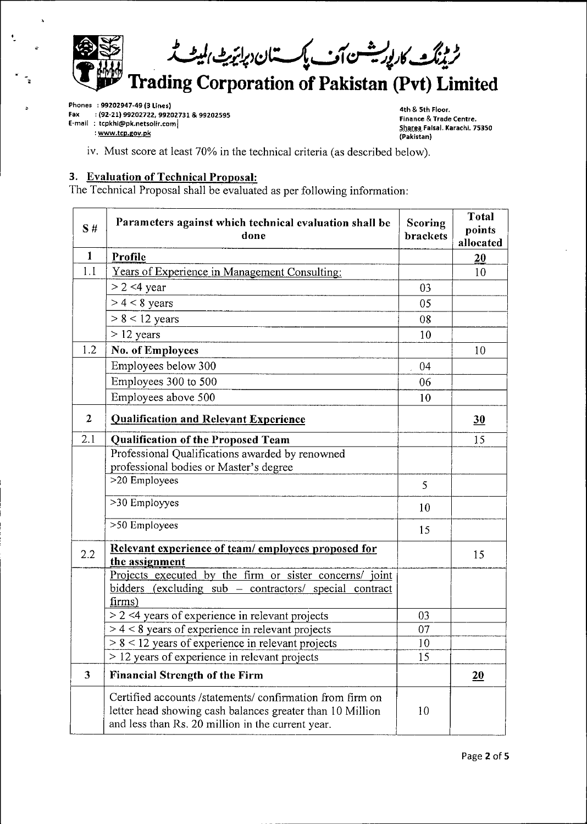$\hat{\mathbb{R}}$ **the final discrete** ٹریٹنگٹ کارلوریشسن آف پاکستان دپائیٹ بلیٹ ٹر **Trading Corporation of Pakistan (Pvt) Limited** 

**Phones : 99202947-49 (3 Lines)**

 $\ddot{\phantom{0}}$ 

**: (92-21) 99202722, 99202731 & 99202595 Fax**

**E-mail : tcpkhi(®pk.netsolir.com|**

**: [www.tcp.gov.pk](http://www.tcp.gov.pk)**

**4th & 5th Floor. Finance & Trade Centre. StoatH.Faisal. Karachi. 75350 (Pakistan)**

iv. Must score at least 70% in the technical criteria (as described below).

## **3. Evaluation ofTechnical Proposal:**

The Technical Proposal shall be evaluated as per following information:

| S#                      | Parameters against which technical evaluation shall be<br>done                                                                                                              | Scoring<br>brackets | <b>Total</b><br>points<br>allocated |
|-------------------------|-----------------------------------------------------------------------------------------------------------------------------------------------------------------------------|---------------------|-------------------------------------|
| $\mathbf{1}$            | <b>Profile</b>                                                                                                                                                              |                     | 20                                  |
| 1.1                     | Years of Experience in Management Consulting:                                                                                                                               |                     | 10                                  |
|                         | $> 2$ <4 year                                                                                                                                                               | 03                  |                                     |
|                         | $> 4 < 8$ years                                                                                                                                                             | 05                  |                                     |
|                         | $> 8 < 12$ years                                                                                                                                                            | 08                  |                                     |
|                         | $> 12$ years                                                                                                                                                                | 10                  |                                     |
| 1.2                     | No. of Employees                                                                                                                                                            |                     | 10                                  |
|                         | Employees below 300                                                                                                                                                         | 04                  |                                     |
|                         | Employees 300 to 500                                                                                                                                                        | 06                  |                                     |
|                         | Employees above 500                                                                                                                                                         | 10                  |                                     |
| $\overline{2}$          | <b>Qualification and Relevant Experience</b>                                                                                                                                |                     | 30                                  |
| 2.1                     | Qualification of the Proposed Team                                                                                                                                          |                     | 15                                  |
|                         | Professional Qualifications awarded by renowned                                                                                                                             |                     |                                     |
|                         | professional bodies or Master's degree                                                                                                                                      |                     |                                     |
|                         | >20 Employees                                                                                                                                                               | 5                   |                                     |
|                         | >30 Employyes                                                                                                                                                               | 10                  |                                     |
|                         | >50 Employees                                                                                                                                                               | 15                  |                                     |
| 2.2                     | Relevant experience of team/employees proposed for                                                                                                                          |                     | 15                                  |
|                         | the assignment                                                                                                                                                              |                     |                                     |
|                         | Projects executed by the firm or sister concerns/ joint                                                                                                                     |                     |                                     |
|                         | bidders (excluding sub – contractors/ special contract                                                                                                                      |                     |                                     |
|                         | firms)<br>$\geq$ 2 <4 years of experience in relevant projects                                                                                                              | 03                  |                                     |
|                         | $> 4 < 8$ years of experience in relevant projects                                                                                                                          | 07                  |                                     |
|                         | $> 8 < 12$ years of experience in relevant projects                                                                                                                         | 10                  |                                     |
|                         | $>$ 12 years of experience in relevant projects                                                                                                                             | 15                  |                                     |
| $\overline{\mathbf{3}}$ | <b>Financial Strength of the Firm</b>                                                                                                                                       |                     | 20                                  |
|                         | Certified accounts /statements/ confirmation from firm on<br>letter head showing cash balances greater than 10 Million<br>and less than Rs. 20 million in the current year. | 10                  |                                     |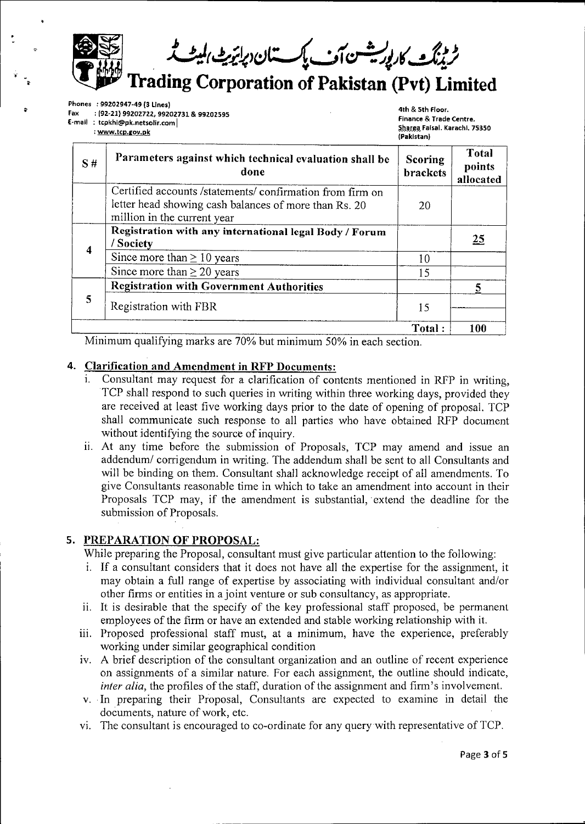*t* **Trading Corporation of Pakistan (Pvt) Limited**

**Phones : 99202947-49 (3 Lines) : (92-21) 99202722, 99202731 & 99202595 E-mail : tcpkhi(®pk.netsolir.com| Fax**

**: [www.tcD.gov.pk](http://www.tcD.gov.pk)**

**4th & 5th Floor. Finance & Trade Centre.** Sharea Faisal. Karachi. 75350 **(Pakistan)**

| S#                      | Parameters against which technical evaluation shall be<br>done                                                                                    | <b>Scoring</b><br><b>brackets</b> | <b>Total</b><br>points<br>allocated |
|-------------------------|---------------------------------------------------------------------------------------------------------------------------------------------------|-----------------------------------|-------------------------------------|
|                         | Certified accounts /statements/ confirmation from firm on<br>letter head showing cash balances of more than Rs. 20<br>million in the current year | 20                                |                                     |
| $\overline{\mathbf{4}}$ | Registration with any international legal Body / Forum<br>/ Society                                                                               |                                   | 25                                  |
|                         | Since more than $\geq 10$ years                                                                                                                   | 10                                |                                     |
|                         | Since more than $\geq 20$ years                                                                                                                   | 15                                |                                     |
| 5                       | <b>Registration with Government Authorities</b>                                                                                                   |                                   |                                     |
|                         | Registration with FBR                                                                                                                             | 15                                |                                     |
|                         |                                                                                                                                                   | Total:                            | 100                                 |

Minimum qualifying marks are 70% but minimum 50% in each section.

## **4. Clarification and Amendment in RFP Documents:**

- i. Consultant may request for a clarification of contents mentioned in RFP in writing, TCP shall respond to such queries in writing within three working days, provided they are received at least five working days prior to the date of opening of proposal. TCP shall communicate such response to all parties who have obtained RFP document without identifying the source of inquiry.
- ii. At any time before the submission of Proposals, TCP may amend and issue an addendum/ corrigendum in writing. The addendum shall be sent to all Consultants and will be binding on them. Consultant shall acknowledge receipt of all amendments. To give Consultants reasonable time in which to take an amendment into account in their Proposals TCP may, if the amendment is substantial, extend the deadline for the submission of Proposals.

## **5. PREPARATION OF PROPOSAL:**

While preparing the Proposal, consultant must give particular attention to the following:

- i. If a consultant considers that it does not have all the expertise for the assignment, it may obtain a full range of expertise by associating with individual consultant and/or other firms or entities in a joint venture or sub consultancy, as appropriate.
- ii. It is desirable that the specify of the key professional staff proposed, be permanent employees of the firm or have an extended and stable working relationship with it.
- iii. Proposed professional staff must, at a minimum, have the experience, preferably working under similar geographical condition
- iv. A brief description of the consultant organization and an outline of recent experience on assignments of a similar nature. For each assignment, the outline should indicate, *inter alia*, the profiles of the staff, duration of the assignment and firm's involvement.
- v. In preparing their Proposal, Consultants are expected to examine in detail the documents, nature of work, etc.
- vi. The consultant is encouraged to co-ordinate for any query with representative of TCP.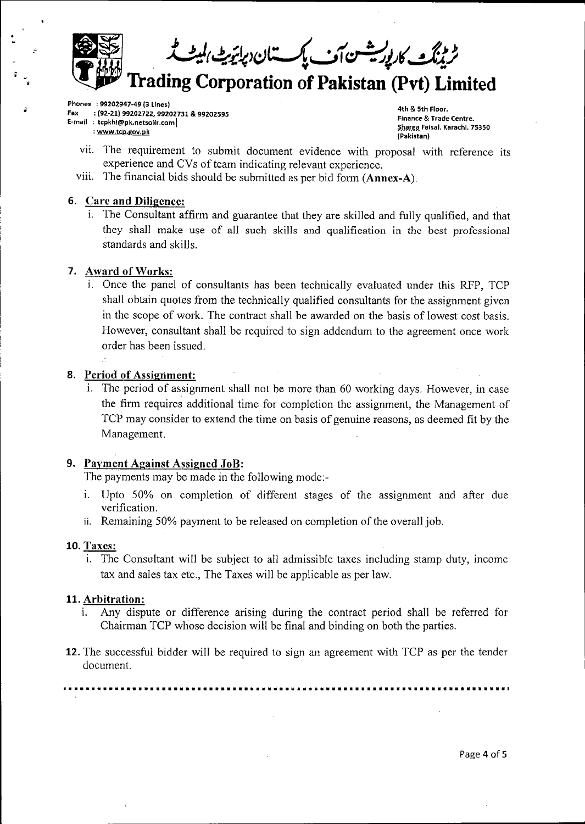**T Trading Corporation of Pakistan (Pvt) Limited**

**Phones : 99202947-49(3 Lines)**

*?*

- **: (92-21) 99202722, 99202731 & 99202595 E-mail : tcpkhi(®pk.netso!ir.com| Fax**
	- **: [www.tcp.gov.pk](http://www.tcp.gov.pk)**

**4th & 5th Floor. Finance & Trade Centre. §Jj\$r@3, Faisal. Karachi. 75350 (Pakistan)**

- vii. Ihe requirement to submit document evidence with proposal with reference its experience and CVs of team indicating relevant experience.
- viii. The financial bids should be submitted as per bid form **(Annex-A).**

## **6. Care and Diligence:**

i. The Consultant affirm and guarantee that they are skilled and fully qualified, and that they shall make use of all such skills and qualification in the best professional standards and skills.

## **7. Award ofWorks:**

i. Once the panel of consultants has been technically evaluated under this RFP, TCP shall obtain quotes from the technically qualified consultants for the assignment given in the scope of work. The contract shall be awarded on the basis of lowest cost basis. However, consultant shall be required to sign addendum to the agreement once work order has been issued.

## **8. Period of Assignment:**

i. The period of assignment shall not be more than 60 working days. Plowever, in case the firm requires additional time for completion the assignment, the Management of TCP may consider to extend the time on basis of genuine reasons, as deemed fit by the Management.

## **9. Payment Against Assigned JoB:**

The payments may be made in the following mode:-

 $\sim$ 

- i. Upto 50% on completion of different stages of the assignment and after due verification.
- ii. Remaining 50% payment to be released on completion of the overall job.

### 10. Taxes:

i. The Consultant will be subject to all admissible taxes including stamp duty, income tax and sales tax etc., The Taxes will be applicable as per law.

### **11. Arbitration:**

- i. Any dispute or difference arising during the contract period shall be referred for Chairman TCP whose decision will be final and binding on both the parties.
- 12. The successful bidder will be required to sign an agreement with TCP as per the tender document.